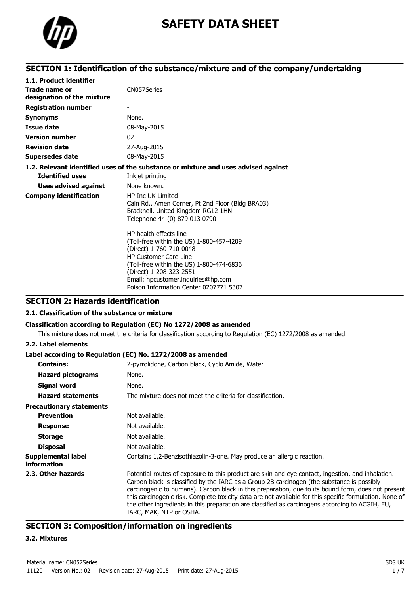

# **SAFETY DATA SHEET**

## **SECTION 1: Identification of the substance/mixture and of the company/undertaking**

| 1.1. Product identifier                     |                                                                                                                                                                                                                                                                                      |
|---------------------------------------------|--------------------------------------------------------------------------------------------------------------------------------------------------------------------------------------------------------------------------------------------------------------------------------------|
| Trade name or<br>designation of the mixture | CN057Series                                                                                                                                                                                                                                                                          |
| <b>Registration number</b>                  |                                                                                                                                                                                                                                                                                      |
| <b>Synonyms</b>                             | None.                                                                                                                                                                                                                                                                                |
| Issue date                                  | 08-May-2015                                                                                                                                                                                                                                                                          |
| <b>Version number</b>                       | 02                                                                                                                                                                                                                                                                                   |
| <b>Revision date</b>                        | 27-Aug-2015                                                                                                                                                                                                                                                                          |
| <b>Supersedes date</b>                      | 08-May-2015                                                                                                                                                                                                                                                                          |
|                                             | 1.2. Relevant identified uses of the substance or mixture and uses advised against                                                                                                                                                                                                   |
| <b>Identified uses</b>                      | Inkjet printing                                                                                                                                                                                                                                                                      |
| <b>Uses advised against</b>                 | None known.                                                                                                                                                                                                                                                                          |
| <b>Company identification</b>               | <b>HP Inc UK Limited</b><br>Cain Rd., Amen Corner, Pt 2nd Floor (Bldg BRA03)<br>Bracknell, United Kingdom RG12 1HN<br>Telephone 44 (0) 879 013 0790                                                                                                                                  |
|                                             | HP health effects line<br>(Toll-free within the US) 1-800-457-4209<br>(Direct) 1-760-710-0048<br><b>HP Customer Care Line</b><br>(Toll-free within the US) 1-800-474-6836<br>(Direct) 1-208-323-2551<br>Email: hpcustomer.inquiries@hp.com<br>Poison Information Center 0207771 5307 |

## **SECTION 2: Hazards identification**

## **2.1. Classification of the substance or mixture**

### **Classification according to Regulation (EC) No 1272/2008 as amended**

This mixture does not meet the criteria for classification according to Regulation (EC) 1272/2008 as amended.

#### **2.2. Label elements**

### **Label according to Regulation (EC) No. 1272/2008 as amended**

| <b>Contains:</b>                         | 2-pyrrolidone, Carbon black, Cyclo Amide, Water                                                                                                                                                                                                                                                                                                                                                                                                                                                                                                |
|------------------------------------------|------------------------------------------------------------------------------------------------------------------------------------------------------------------------------------------------------------------------------------------------------------------------------------------------------------------------------------------------------------------------------------------------------------------------------------------------------------------------------------------------------------------------------------------------|
| <b>Hazard pictograms</b>                 | None.                                                                                                                                                                                                                                                                                                                                                                                                                                                                                                                                          |
| Signal word                              | None.                                                                                                                                                                                                                                                                                                                                                                                                                                                                                                                                          |
| <b>Hazard statements</b>                 | The mixture does not meet the criteria for classification.                                                                                                                                                                                                                                                                                                                                                                                                                                                                                     |
| <b>Precautionary statements</b>          |                                                                                                                                                                                                                                                                                                                                                                                                                                                                                                                                                |
| <b>Prevention</b>                        | Not available.                                                                                                                                                                                                                                                                                                                                                                                                                                                                                                                                 |
| <b>Response</b>                          | Not available.                                                                                                                                                                                                                                                                                                                                                                                                                                                                                                                                 |
| <b>Storage</b>                           | Not available.                                                                                                                                                                                                                                                                                                                                                                                                                                                                                                                                 |
| <b>Disposal</b>                          | Not available.                                                                                                                                                                                                                                                                                                                                                                                                                                                                                                                                 |
| Supplemental label<br><i>information</i> | Contains 1,2-Benzisothiazolin-3-one. May produce an allergic reaction.                                                                                                                                                                                                                                                                                                                                                                                                                                                                         |
| 2.3. Other hazards                       | Potential routes of exposure to this product are skin and eye contact, ingestion, and inhalation.<br>Carbon black is classified by the IARC as a Group 2B carcinogen (the substance is possibly<br>carcinogenic to humans). Carbon black in this preparation, due to its bound form, does not present<br>this carcinogenic risk. Complete toxicity data are not available for this specific formulation. None of<br>the other ingredients in this preparation are classified as carcinogens according to ACGIH, EU,<br>IARC, MAK, NTP or OSHA. |

## **SECTION 3: Composition/information on ingredients**

#### **3.2. Mixtures**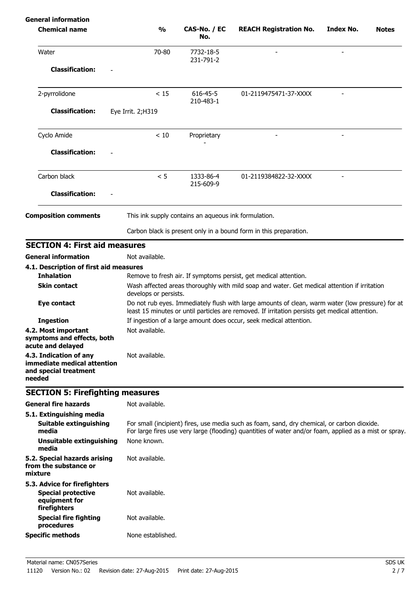| <b>General information</b>                                                                 |                       |                                                      |                                                                                                                                                                                                       |                  |              |
|--------------------------------------------------------------------------------------------|-----------------------|------------------------------------------------------|-------------------------------------------------------------------------------------------------------------------------------------------------------------------------------------------------------|------------------|--------------|
| <b>Chemical name</b>                                                                       | $\frac{0}{0}$         | CAS-No. / EC<br>No.                                  | <b>REACH Registration No.</b>                                                                                                                                                                         | <b>Index No.</b> | <b>Notes</b> |
| Water                                                                                      | 70-80                 | 7732-18-5<br>231-791-2                               |                                                                                                                                                                                                       |                  |              |
| <b>Classification:</b>                                                                     |                       |                                                      |                                                                                                                                                                                                       |                  |              |
| 2-pyrrolidone                                                                              | < 15                  | 616-45-5<br>210-483-1                                | 01-2119475471-37-XXXX                                                                                                                                                                                 |                  |              |
| <b>Classification:</b>                                                                     | Eye Irrit. 2; H319    |                                                      |                                                                                                                                                                                                       |                  |              |
| Cyclo Amide                                                                                | < 10                  | Proprietary                                          |                                                                                                                                                                                                       |                  |              |
| <b>Classification:</b>                                                                     |                       |                                                      |                                                                                                                                                                                                       |                  |              |
| Carbon black                                                                               | < 5                   | 1333-86-4<br>215-609-9                               | 01-2119384822-32-XXXX                                                                                                                                                                                 |                  |              |
| <b>Classification:</b>                                                                     |                       |                                                      |                                                                                                                                                                                                       |                  |              |
| <b>Composition comments</b>                                                                |                       | This ink supply contains an aqueous ink formulation. |                                                                                                                                                                                                       |                  |              |
|                                                                                            |                       |                                                      | Carbon black is present only in a bound form in this preparation.                                                                                                                                     |                  |              |
| <b>SECTION 4: First aid measures</b>                                                       |                       |                                                      |                                                                                                                                                                                                       |                  |              |
| <b>General information</b>                                                                 | Not available.        |                                                      |                                                                                                                                                                                                       |                  |              |
| 4.1. Description of first aid measures                                                     |                       |                                                      |                                                                                                                                                                                                       |                  |              |
| <b>Inhalation</b>                                                                          |                       |                                                      | Remove to fresh air. If symptoms persist, get medical attention.                                                                                                                                      |                  |              |
| <b>Skin contact</b>                                                                        | develops or persists. |                                                      | Wash affected areas thoroughly with mild soap and water. Get medical attention if irritation                                                                                                          |                  |              |
| Eye contact                                                                                |                       |                                                      | Do not rub eyes. Immediately flush with large amounts of clean, warm water (low pressure) for at<br>least 15 minutes or until particles are removed. If irritation persists get medical attention.    |                  |              |
| <b>Ingestion</b>                                                                           |                       |                                                      | If ingestion of a large amount does occur, seek medical attention.                                                                                                                                    |                  |              |
| 4.2. Most important<br>symptoms and effects, both<br>acute and delayed                     | Not available.        |                                                      |                                                                                                                                                                                                       |                  |              |
| 4.3. Indication of any<br>immediate medical attention<br>and special treatment<br>needed   | Not available.        |                                                      |                                                                                                                                                                                                       |                  |              |
| <b>SECTION 5: Firefighting measures</b>                                                    |                       |                                                      |                                                                                                                                                                                                       |                  |              |
| <b>General fire hazards</b>                                                                | Not available.        |                                                      |                                                                                                                                                                                                       |                  |              |
| 5.1. Extinguishing media<br><b>Suitable extinguishing</b><br>media                         |                       |                                                      | For small (incipient) fires, use media such as foam, sand, dry chemical, or carbon dioxide.<br>For large fires use very large (flooding) quantities of water and/or foam, applied as a mist or spray. |                  |              |
| <b>Unsuitable extinguishing</b><br>media                                                   | None known.           |                                                      |                                                                                                                                                                                                       |                  |              |
| 5.2. Special hazards arising<br>from the substance or<br>mixture                           | Not available.        |                                                      |                                                                                                                                                                                                       |                  |              |
| 5.3. Advice for firefighters<br><b>Special protective</b><br>equipment for<br>firefighters | Not available.        |                                                      |                                                                                                                                                                                                       |                  |              |
| <b>Special fire fighting</b><br>procedures                                                 | Not available.        |                                                      |                                                                                                                                                                                                       |                  |              |
| <b>Specific methods</b>                                                                    | None established.     |                                                      |                                                                                                                                                                                                       |                  |              |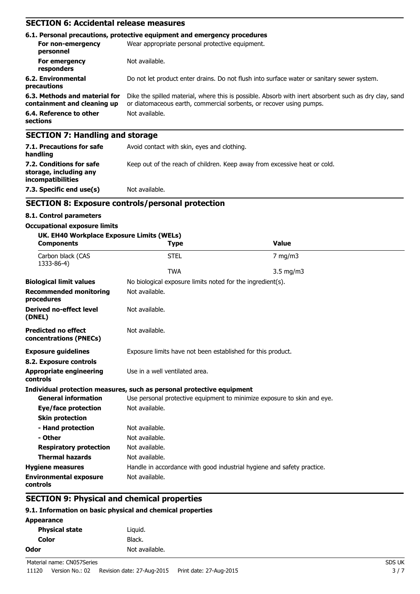## **SECTION 6: Accidental release measures**

|                                                              | 6.1. Personal precautions, protective equipment and emergency procedures                                                                                                     |  |  |
|--------------------------------------------------------------|------------------------------------------------------------------------------------------------------------------------------------------------------------------------------|--|--|
| For non-emergency<br>personnel                               | Wear appropriate personal protective equipment.                                                                                                                              |  |  |
| For emergency<br>responders                                  | Not available.                                                                                                                                                               |  |  |
| 6.2. Environmental<br>precautions                            | Do not let product enter drains. Do not flush into surface water or sanitary sewer system.                                                                                   |  |  |
| 6.3. Methods and material for<br>containment and cleaning up | Dike the spilled material, where this is possible. Absorb with inert absorbent such as dry clay, sand<br>or diatomaceous earth, commercial sorbents, or recover using pumps. |  |  |
| 6.4. Reference to other<br>sections                          | Not available.                                                                                                                                                               |  |  |
| <b>SECTION 7: Handling and storage</b>                       |                                                                                                                                                                              |  |  |
| 7.1. Precautions for safe<br>handling                        | Avoid contact with skin, eyes and clothing.                                                                                                                                  |  |  |

Keep out of the reach of children. Keep away from excessive heat or cold.

**incompatibilities 7.3. Specific end use(s)** Not available.

## **SECTION 8: Exposure controls/personal protection**

#### **8.1. Control parameters**

**7.2. Conditions for safe storage, including any**

#### **Occupational exposure limits**

| UK. EH40 Workplace Exposure Limits (WELs)            |                                                                       |                                                                         |
|------------------------------------------------------|-----------------------------------------------------------------------|-------------------------------------------------------------------------|
| <b>Components</b>                                    | <b>Type</b>                                                           | <b>Value</b>                                                            |
| Carbon black (CAS<br>1333-86-4)                      | <b>STEL</b>                                                           | $7$ mg/m $3$                                                            |
|                                                      | <b>TWA</b>                                                            | $3.5$ mg/m $3$                                                          |
| <b>Biological limit values</b>                       | No biological exposure limits noted for the ingredient(s).            |                                                                         |
| <b>Recommended monitoring</b><br>procedures          | Not available.                                                        |                                                                         |
| <b>Derived no-effect level</b><br>(DNEL)             | Not available.                                                        |                                                                         |
| <b>Predicted no effect</b><br>concentrations (PNECs) | Not available.                                                        |                                                                         |
| <b>Exposure guidelines</b>                           | Exposure limits have not been established for this product.           |                                                                         |
| 8.2. Exposure controls                               |                                                                       |                                                                         |
| <b>Appropriate engineering</b><br>controls           | Use in a well ventilated area.                                        |                                                                         |
|                                                      | Individual protection measures, such as personal protective equipment |                                                                         |
| <b>General information</b>                           |                                                                       | Use personal protective equipment to minimize exposure to skin and eye. |
| Eye/face protection                                  | Not available.                                                        |                                                                         |
| <b>Skin protection</b>                               |                                                                       |                                                                         |
| - Hand protection                                    | Not available.                                                        |                                                                         |
| - Other                                              | Not available.                                                        |                                                                         |
| <b>Respiratory protection</b>                        | Not available.                                                        |                                                                         |
| <b>Thermal hazards</b>                               | Not available.                                                        |                                                                         |
| <b>Hygiene measures</b>                              |                                                                       | Handle in accordance with good industrial hygiene and safety practice.  |
| <b>Environmental exposure</b><br>controls            | Not available.                                                        |                                                                         |

## **SECTION 9: Physical and chemical properties**

## **9.1. Information on basic physical and chemical properties**

| Appearance            |                |
|-----------------------|----------------|
| <b>Physical state</b> | Liguid.        |
| Color                 | Black.         |
| Odor                  | Not available. |
|                       |                |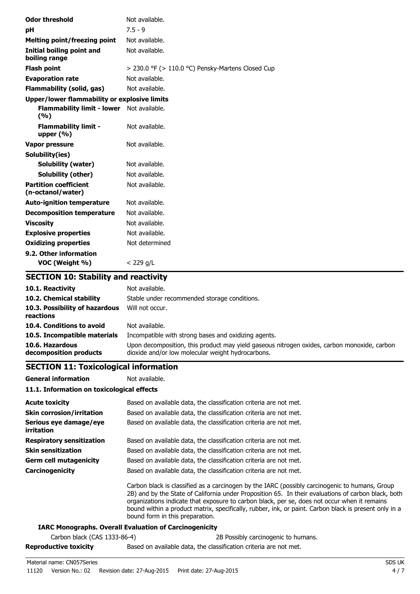| <b>Odor threshold</b>                                   | Not available.                                    |
|---------------------------------------------------------|---------------------------------------------------|
| pH                                                      | $7.5 - 9$                                         |
| <b>Melting point/freezing point</b>                     | Not available.                                    |
| Initial boiling point and<br>boiling range              | Not available.                                    |
| <b>Flash point</b>                                      | > 230.0 °F (> 110.0 °C) Pensky-Martens Closed Cup |
| <b>Evaporation rate</b>                                 | Not available.                                    |
| <b>Flammability (solid, gas)</b>                        | Not available.                                    |
| <b>Upper/lower flammability or explosive limits</b>     |                                                   |
| <b>Flammability limit - lower</b> Not available.<br>(%) |                                                   |
| <b>Flammability limit -</b><br>upper $(\% )$            | Not available.                                    |
| Vapor pressure                                          | Not available.                                    |
| Solubility(ies)                                         |                                                   |
| <b>Solubility (water)</b>                               | Not available.                                    |
| Solubility (other)                                      | Not available.                                    |
| <b>Partition coefficient</b><br>(n-octanol/water)       | Not available.                                    |
| <b>Auto-ignition temperature</b>                        | Not available.                                    |
| <b>Decomposition temperature</b>                        | Not available.                                    |
| <b>Viscosity</b>                                        | Not available.                                    |
| <b>Explosive properties</b>                             | Not available.                                    |
| <b>Oxidizing properties</b>                             | Not determined                                    |
| 9.2. Other information<br>VOC (Weight %)                | $<$ 229 g/L                                       |
| <b>SECTION 10: Stability and reactivity</b>             |                                                   |

| 10.1. Reactivity                            | Not available.                                                                                                                                   |
|---------------------------------------------|--------------------------------------------------------------------------------------------------------------------------------------------------|
| 10.2. Chemical stability                    | Stable under recommended storage conditions.                                                                                                     |
| 10.3. Possibility of hazardous<br>reactions | Will not occur.                                                                                                                                  |
| 10.4. Conditions to avoid                   | Not available.                                                                                                                                   |
| 10.5. Incompatible materials                | Incompatible with strong bases and oxidizing agents.                                                                                             |
| 10.6. Hazardous<br>decomposition products   | Upon decomposition, this product may yield gaseous nitrogen oxides, carbon monoxide, carbon<br>dioxide and/or low molecular weight hydrocarbons. |

## **SECTION 11: Toxicological information**

**General information** Not available. **11.1. Information on toxicological effects**

| <b>Acute toxicity</b>                       | Based on available data, the classification criteria are not met.                                                                                                                                                                                                                                                                                                                                                                                 |
|---------------------------------------------|---------------------------------------------------------------------------------------------------------------------------------------------------------------------------------------------------------------------------------------------------------------------------------------------------------------------------------------------------------------------------------------------------------------------------------------------------|
| <b>Skin corrosion/irritation</b>            | Based on available data, the classification criteria are not met.                                                                                                                                                                                                                                                                                                                                                                                 |
| Serious eye damage/eye<br><i>irritation</i> | Based on available data, the classification criteria are not met.                                                                                                                                                                                                                                                                                                                                                                                 |
| <b>Respiratory sensitization</b>            | Based on available data, the classification criteria are not met.                                                                                                                                                                                                                                                                                                                                                                                 |
| <b>Skin sensitization</b>                   | Based on available data, the classification criteria are not met.                                                                                                                                                                                                                                                                                                                                                                                 |
| <b>Germ cell mutagenicity</b>               | Based on available data, the classification criteria are not met.                                                                                                                                                                                                                                                                                                                                                                                 |
| Carcinogenicity                             | Based on available data, the classification criteria are not met.                                                                                                                                                                                                                                                                                                                                                                                 |
|                                             | Carbon black is classified as a carcinogen by the IARC (possibly carcinogenic to humans, Group<br>2B) and by the State of California under Proposition 65. In their evaluations of carbon black, both<br>organizations indicate that exposure to carbon black, per se, does not occur when it remains<br>bound within a product matrix, specifically, rubber, ink, or paint. Carbon black is present only in a<br>bound form in this preparation. |
|                                             | <b>IARC Monographs. Overall Evaluation of Carcinogenicity</b>                                                                                                                                                                                                                                                                                                                                                                                     |
| Carbon black (CAS 1333-86-4)                | 2B Possibly carcinogenic to humans.                                                                                                                                                                                                                                                                                                                                                                                                               |

**Reproductive toxicity** Based on available data, the classification criteria are not met.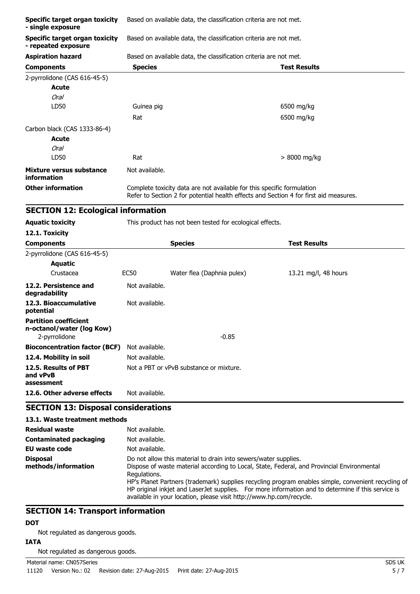| <b>Specific target organ toxicity</b><br>- single exposure   | Based on available data, the classification criteria are not met. |                                                                        |                                                                                       |  |
|--------------------------------------------------------------|-------------------------------------------------------------------|------------------------------------------------------------------------|---------------------------------------------------------------------------------------|--|
| <b>Specific target organ toxicity</b><br>- repeated exposure | Based on available data, the classification criteria are not met. |                                                                        |                                                                                       |  |
| <b>Aspiration hazard</b>                                     |                                                                   | Based on available data, the classification criteria are not met.      |                                                                                       |  |
| <b>Components</b>                                            | <b>Species</b>                                                    |                                                                        | <b>Test Results</b>                                                                   |  |
| 2-pyrrolidone (CAS 616-45-5)                                 |                                                                   |                                                                        |                                                                                       |  |
| <b>Acute</b>                                                 |                                                                   |                                                                        |                                                                                       |  |
| <b>Oral</b>                                                  |                                                                   |                                                                        |                                                                                       |  |
| LD50                                                         | Guinea pig                                                        |                                                                        | 6500 mg/kg                                                                            |  |
|                                                              | Rat                                                               |                                                                        | 6500 mg/kg                                                                            |  |
| Carbon black (CAS 1333-86-4)                                 |                                                                   |                                                                        |                                                                                       |  |
| Acute                                                        |                                                                   |                                                                        |                                                                                       |  |
| <b>Oral</b>                                                  |                                                                   |                                                                        |                                                                                       |  |
| LD50                                                         | Rat                                                               |                                                                        | $> 8000$ mg/kg                                                                        |  |
| Mixture versus substance<br>information                      | Not available.                                                    |                                                                        |                                                                                       |  |
| <b>Other information</b>                                     |                                                                   | Complete toxicity data are not available for this specific formulation | Refer to Section 2 for potential health effects and Section 4 for first aid measures. |  |
| <b>SECTION 12: Ecological information</b>                    |                                                                   |                                                                        |                                                                                       |  |
| <b>Aquatic toxicity</b>                                      |                                                                   | This product has not been tested for ecological effects.               |                                                                                       |  |
| 12.1. Toxicity                                               |                                                                   |                                                                        |                                                                                       |  |
| <b>Components</b>                                            |                                                                   | <b>Species</b>                                                         | <b>Test Results</b>                                                                   |  |
| 2-pyrrolidone (CAS 616-45-5)                                 |                                                                   |                                                                        |                                                                                       |  |
| <b>Aquatic</b>                                               |                                                                   |                                                                        |                                                                                       |  |
| Crustacea                                                    | <b>EC50</b>                                                       | Water flea (Daphnia pulex)                                             | 13.21 mg/l, 48 hours                                                                  |  |
| 12.2. Persistence and<br>degradability                       | Not available.                                                    |                                                                        |                                                                                       |  |
| 12.3. Bioaccumulative<br>potential                           | Not available.                                                    |                                                                        |                                                                                       |  |
| <b>Partition coefficient</b><br>n-octanol/water (log Kow)    |                                                                   |                                                                        |                                                                                       |  |
| 2-pyrrolidone                                                |                                                                   | $-0.85$                                                                |                                                                                       |  |
| <b>Bioconcentration factor (BCF)</b>                         | Not available.                                                    |                                                                        |                                                                                       |  |
| 12.4. Mobility in soil                                       | Not available.                                                    |                                                                        |                                                                                       |  |
| 12.5. Results of PBT<br>and vPvB<br>assessment               |                                                                   | Not a PBT or vPvB substance or mixture.                                |                                                                                       |  |
| 12.6. Other adverse effects                                  | Not available.                                                    |                                                                        |                                                                                       |  |
| <b>SECTION 13: Disposal considerations</b>                   |                                                                   |                                                                        |                                                                                       |  |

| 13.1. Waste treatment methods          |                                                                                                                                                                                                                                                                                                                                                                                                                                                                   |
|----------------------------------------|-------------------------------------------------------------------------------------------------------------------------------------------------------------------------------------------------------------------------------------------------------------------------------------------------------------------------------------------------------------------------------------------------------------------------------------------------------------------|
| Residual waste                         | Not available.                                                                                                                                                                                                                                                                                                                                                                                                                                                    |
| <b>Contaminated packaging</b>          | Not available.                                                                                                                                                                                                                                                                                                                                                                                                                                                    |
| EU waste code                          | Not available.                                                                                                                                                                                                                                                                                                                                                                                                                                                    |
| <b>Disposal</b><br>methods/information | Do not allow this material to drain into sewers/water supplies.<br>Dispose of waste material according to Local, State, Federal, and Provincial Environmental<br>Regulations.<br>HP's Planet Partners (trademark) supplies recycling program enables simple, convenient recycling of<br>HP original inkjet and LaserJet supplies. For more information and to determine if this service is<br>available in your location, please visit http://www.hp.com/recycle. |

## **SECTION 14: Transport information**

## **DOT**

Not regulated as dangerous goods.

## **IATA**

Not regulated as dangerous goods.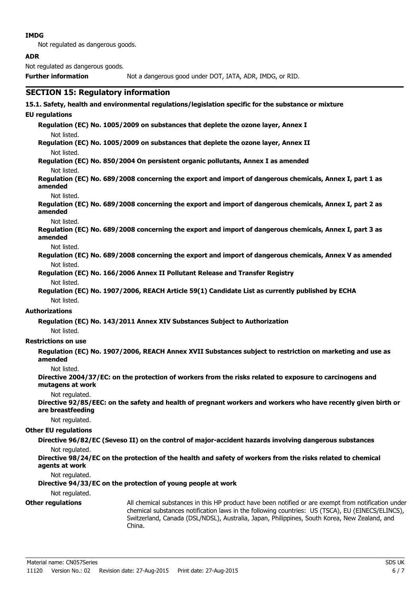#### **IMDG**

Not regulated as dangerous goods.

#### **ADR**

Not regulated as dangerous goods.

**Further information** Not a dangerous good under DOT, IATA, ADR, IMDG, or RID.

### **SECTION 15: Regulatory information**

## **15.1. Safety, health and environmental regulations/legislation specific for the substance or mixture**

#### **EU regulations**

**Regulation (EC) No. 1005/2009 on substances that deplete the ozone layer, Annex I** Not listed.

**Regulation (EC) No. 1005/2009 on substances that deplete the ozone layer, Annex II** Not listed.

**Regulation (EC) No. 850/2004 On persistent organic pollutants, Annex I as amended** Not listed.

**Regulation (EC) No. 689/2008 concerning the export and import of dangerous chemicals, Annex I, part 1 as amended**

#### Not listed.

**Regulation (EC) No. 689/2008 concerning the export and import of dangerous chemicals, Annex I, part 2 as amended**

#### Not listed.

**Regulation (EC) No. 689/2008 concerning the export and import of dangerous chemicals, Annex I, part 3 as amended**

#### Not listed.

**Regulation (EC) No. 689/2008 concerning the export and import of dangerous chemicals, Annex V as amended** Not listed.

**Regulation (EC) No. 166/2006 Annex II Pollutant Release and Transfer Registry**

#### Not listed.

**Regulation (EC) No. 1907/2006, REACH Article 59(1) Candidate List as currently published by ECHA** Not listed.

#### **Authorizations**

**Regulation (EC) No. 143/2011 Annex XIV Substances Subject to Authorization**

Not listed.

#### **Restrictions on use**

**Regulation (EC) No. 1907/2006, REACH Annex XVII Substances subject to restriction on marketing and use as amended**

#### Not listed.

**Directive 2004/37/EC: on the protection of workers from the risks related to exposure to carcinogens and mutagens at work**

#### Not regulated.

**Directive 92/85/EEC: on the safety and health of pregnant workers and workers who have recently given birth or are breastfeeding**

#### Not regulated.

#### **Other EU regulations**

**Directive 96/82/EC (Seveso II) on the control of major-accident hazards involving dangerous substances**

Not regulated.

**Directive 98/24/EC on the protection of the health and safety of workers from the risks related to chemical agents at work**

Not regulated.

#### **Directive 94/33/EC on the protection of young people at work**

#### Not regulated.

**Other regulations** All chemical substances in this HP product have been notified or are exempt from notification under chemical substances notification laws in the following countries: US (TSCA), EU (EINECS/ELINCS), Switzerland, Canada (DSL/NDSL), Australia, Japan, Philippines, South Korea, New Zealand, and China.